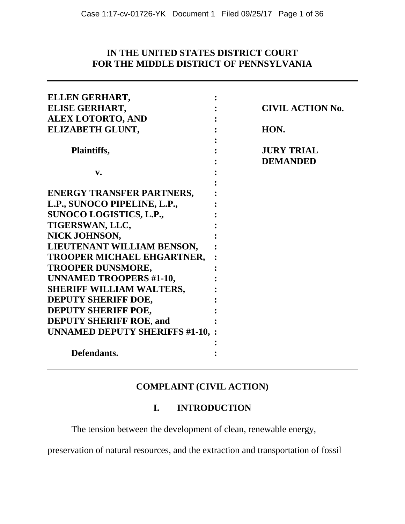## **IN THE UNITED STATES DISTRICT COURT FOR THE MIDDLE DISTRICT OF PENNSYLVANIA**

| ELLEN GERHART,                          |                                      |
|-----------------------------------------|--------------------------------------|
| ELISE GERHART,                          | <b>CIVIL ACTION No.</b>              |
| <b>ALEX LOTORTO, AND</b>                |                                      |
| ELIZABETH GLUNT,                        | HON.                                 |
| <b>Plaintiffs,</b>                      | <b>JURY TRIAL</b><br><b>DEMANDED</b> |
| v.                                      |                                      |
| <b>ENERGY TRANSFER PARTNERS,</b>        |                                      |
| L.P., SUNOCO PIPELINE, L.P.,            |                                      |
| SUNOCO LOGISTICS, L.P.,                 |                                      |
| TIGERSWAN, LLC,                         |                                      |
| NICK JOHNSON,                           |                                      |
| LIEUTENANT WILLIAM BENSON,              |                                      |
| TROOPER MICHAEL EHGARTNER,              |                                      |
| <b>TROOPER DUNSMORE,</b>                |                                      |
| <b>UNNAMED TROOPERS #1-10,</b>          |                                      |
| <b>SHERIFF WILLIAM WALTERS,</b>         |                                      |
| DEPUTY SHERIFF DOE,                     |                                      |
| <b>DEPUTY SHERIFF POE,</b>              |                                      |
| <b>DEPUTY SHERIFF ROE, and</b>          |                                      |
| <b>UNNAMED DEPUTY SHERIFFS #1-10, :</b> |                                      |
|                                         |                                      |
| Defendants.                             |                                      |

# **COMPLAINT (CIVIL ACTION)**

# **I. INTRODUCTION**

The tension between the development of clean, renewable energy,

preservation of natural resources, and the extraction and transportation of fossil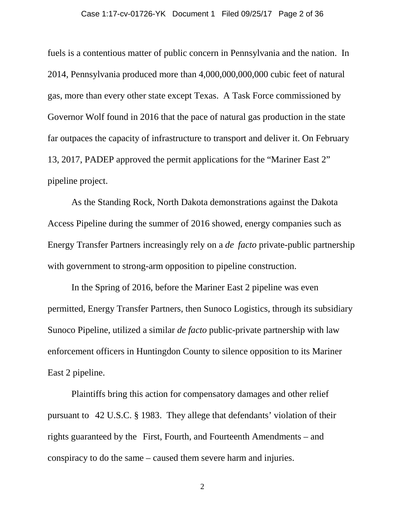#### Case 1:17-cv-01726-YK Document 1 Filed 09/25/17 Page 2 of 36

fuels is a contentious matter of public concern in Pennsylvania and the nation. In 2014, Pennsylvania produced more than 4,000,000,000,000 cubic feet of natural gas, more than every other state except Texas. A Task Force commissioned by Governor Wolf found in 2016 that the pace of natural gas production in the state far outpaces the capacity of infrastructure to transport and deliver it. On February 13, 2017, PADEP approved the permit applications for the "Mariner East 2" pipeline project.

As the Standing Rock, North Dakota demonstrations against the Dakota Access Pipeline during the summer of 2016 showed, energy companies such as Energy Transfer Partners increasingly rely on a *de facto* private-public partnership with government to strong-arm opposition to pipeline construction.

In the Spring of 2016, before the Mariner East 2 pipeline was even permitted, Energy Transfer Partners, then Sunoco Logistics, through its subsidiary Sunoco Pipeline, utilized a similar *de facto* public-private partnership with law enforcement officers in Huntingdon County to silence opposition to its Mariner East 2 pipeline.

Plaintiffs bring this action for compensatory damages and other relief pursuant to 42 U.S.C. § 1983. They allege that defendants' violation of their rights guaranteed by the First, Fourth, and Fourteenth Amendments – and conspiracy to do the same – caused them severe harm and injuries.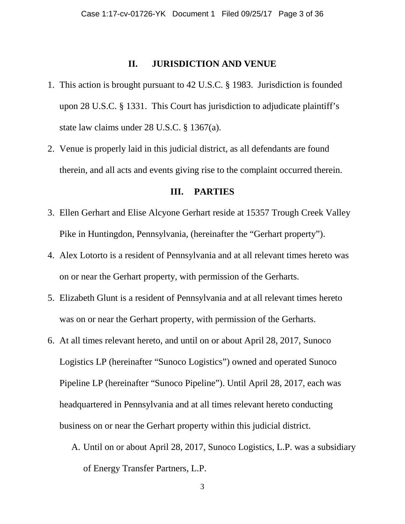#### **II. JURISDICTION AND VENUE**

- 1. This action is brought pursuant to 42 U.S.C. § 1983. Jurisdiction is founded upon 28 U.S.C. § 1331. This Court has jurisdiction to adjudicate plaintiff's state law claims under 28 U.S.C. § 1367(a).
- 2. Venue is properly laid in this judicial district, as all defendants are found therein, and all acts and events giving rise to the complaint occurred therein.

#### **III. PARTIES**

- 3. Ellen Gerhart and Elise Alcyone Gerhart reside at 15357 Trough Creek Valley Pike in Huntingdon, Pennsylvania, (hereinafter the "Gerhart property").
- 4. Alex Lotorto is a resident of Pennsylvania and at all relevant times hereto was on or near the Gerhart property, with permission of the Gerharts.
- 5. Elizabeth Glunt is a resident of Pennsylvania and at all relevant times hereto was on or near the Gerhart property, with permission of the Gerharts.
- 6. At all times relevant hereto, and until on or about April 28, 2017, Sunoco Logistics LP (hereinafter "Sunoco Logistics") owned and operated Sunoco Pipeline LP (hereinafter "Sunoco Pipeline"). Until April 28, 2017, each was headquartered in Pennsylvania and at all times relevant hereto conducting business on or near the Gerhart property within this judicial district.
	- A. Until on or about April 28, 2017, Sunoco Logistics, L.P. was a subsidiary of Energy Transfer Partners, L.P.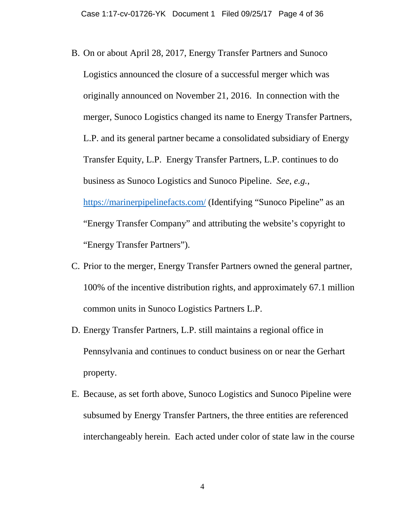- B. On or about April 28, 2017, Energy Transfer Partners and Sunoco Logistics announced the closure of a successful merger which was originally announced on November 21, 2016. In connection with the merger, Sunoco Logistics changed its name to Energy Transfer Partners, L.P. and its general partner became a consolidated subsidiary of Energy Transfer Equity, L.P. Energy Transfer Partners, L.P. continues to do business as Sunoco Logistics and Sunoco Pipeline. *See*, *e.g.*, https://marinerpipelinefacts.com/ (Identifying "Sunoco Pipeline" as an "Energy Transfer Company" and attributing the website's copyright to "Energy Transfer Partners").
- C. Prior to the merger, Energy Transfer Partners owned the general partner, 100% of the incentive distribution rights, and approximately 67.1 million common units in Sunoco Logistics Partners L.P.
- D. Energy Transfer Partners, L.P. still maintains a regional office in Pennsylvania and continues to conduct business on or near the Gerhart property.
- E. Because, as set forth above, Sunoco Logistics and Sunoco Pipeline were subsumed by Energy Transfer Partners, the three entities are referenced interchangeably herein. Each acted under color of state law in the course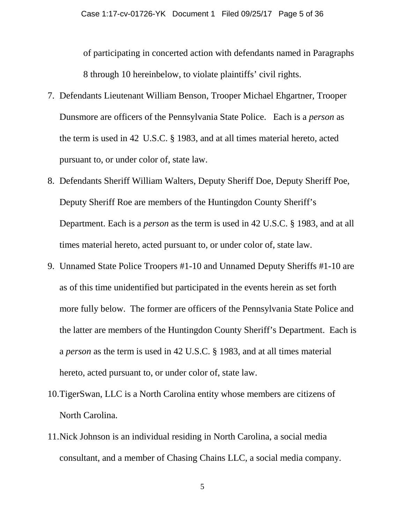of participating in concerted action with defendants named in Paragraphs 8 through 10 hereinbelow, to violate plaintiffs' civil rights.

- 7. Defendants Lieutenant William Benson, Trooper Michael Ehgartner, Trooper Dunsmore are officers of the Pennsylvania State Police. Each is a *person* as the term is used in 42 U.S.C. § 1983, and at all times material hereto, acted pursuant to, or under color of, state law.
- 8. Defendants Sheriff William Walters, Deputy Sheriff Doe, Deputy Sheriff Poe, Deputy Sheriff Roe are members of the Huntingdon County Sheriff's Department. Each is a *person* as the term is used in 42 U.S.C. § 1983, and at all times material hereto, acted pursuant to, or under color of, state law.
- 9. Unnamed State Police Troopers #1-10 and Unnamed Deputy Sheriffs #1-10 are as of this time unidentified but participated in the events herein as set forth more fully below. The former are officers of the Pennsylvania State Police and the latter are members of the Huntingdon County Sheriff's Department. Each is a *person* as the term is used in 42 U.S.C. § 1983, and at all times material hereto, acted pursuant to, or under color of, state law.
- 10.TigerSwan, LLC is a North Carolina entity whose members are citizens of North Carolina.
- 11.Nick Johnson is an individual residing in North Carolina, a social media consultant, and a member of Chasing Chains LLC, a social media company.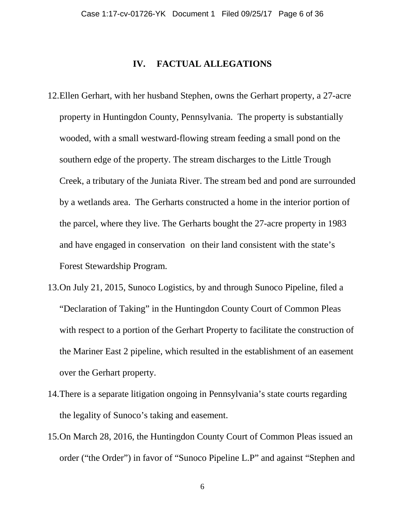#### **IV. FACTUAL ALLEGATIONS**

- 12.Ellen Gerhart, with her husband Stephen, owns the Gerhart property, a 27-acre property in Huntingdon County, Pennsylvania. The property is substantially wooded, with a small westward-flowing stream feeding a small pond on the southern edge of the property. The stream discharges to the Little Trough Creek, a tributary of the Juniata River. The stream bed and pond are surrounded by a wetlands area. The Gerharts constructed a home in the interior portion of the parcel, where they live. The Gerharts bought the 27-acre property in 1983 and have engaged in conservation on their land consistent with the state's Forest Stewardship Program.
- 13.On July 21, 2015, Sunoco Logistics, by and through Sunoco Pipeline, filed a "Declaration of Taking" in the Huntingdon County Court of Common Pleas with respect to a portion of the Gerhart Property to facilitate the construction of the Mariner East 2 pipeline, which resulted in the establishment of an easement over the Gerhart property.
- 14.There is a separate litigation ongoing in Pennsylvania's state courts regarding the legality of Sunoco's taking and easement.
- 15.On March 28, 2016, the Huntingdon County Court of Common Pleas issued an order ("the Order") in favor of "Sunoco Pipeline L.P" and against "Stephen and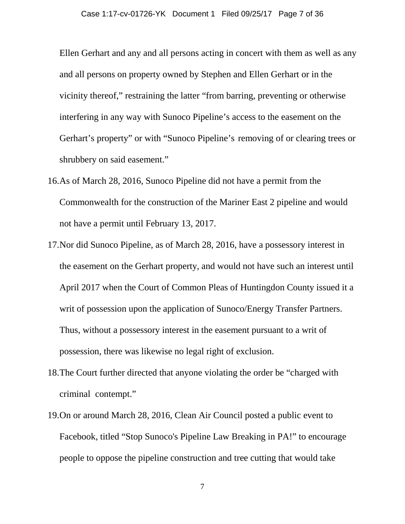Ellen Gerhart and any and all persons acting in concert with them as well as any and all persons on property owned by Stephen and Ellen Gerhart or in the vicinity thereof," restraining the latter "from barring, preventing or otherwise interfering in any way with Sunoco Pipeline's access to the easement on the Gerhart's property" or with "Sunoco Pipeline's removing of or clearing trees or shrubbery on said easement."

- 16.As of March 28, 2016, Sunoco Pipeline did not have a permit from the Commonwealth for the construction of the Mariner East 2 pipeline and would not have a permit until February 13, 2017.
- 17.Nor did Sunoco Pipeline, as of March 28, 2016, have a possessory interest in the easement on the Gerhart property, and would not have such an interest until April 2017 when the Court of Common Pleas of Huntingdon County issued it a writ of possession upon the application of Sunoco/Energy Transfer Partners. Thus, without a possessory interest in the easement pursuant to a writ of possession, there was likewise no legal right of exclusion.
- 18.The Court further directed that anyone violating the order be "charged with criminal contempt."
- 19.On or around March 28, 2016, Clean Air Council posted a public event to Facebook, titled "Stop Sunoco's Pipeline Law Breaking in PA!" to encourage people to oppose the pipeline construction and tree cutting that would take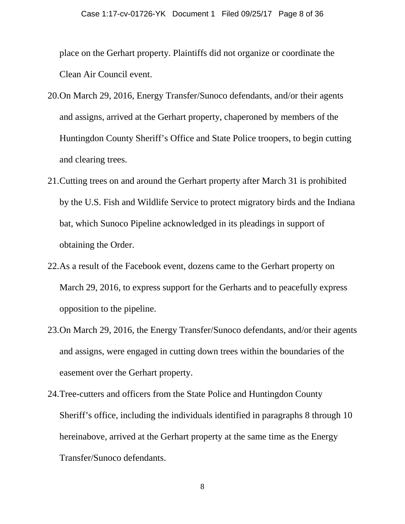place on the Gerhart property. Plaintiffs did not organize or coordinate the Clean Air Council event.

- 20.On March 29, 2016, Energy Transfer/Sunoco defendants, and/or their agents and assigns, arrived at the Gerhart property, chaperoned by members of the Huntingdon County Sheriff's Office and State Police troopers, to begin cutting and clearing trees.
- 21.Cutting trees on and around the Gerhart property after March 31 is prohibited by the U.S. Fish and Wildlife Service to protect migratory birds and the Indiana bat, which Sunoco Pipeline acknowledged in its pleadings in support of obtaining the Order.
- 22.As a result of the Facebook event, dozens came to the Gerhart property on March 29, 2016, to express support for the Gerharts and to peacefully express opposition to the pipeline.
- 23.On March 29, 2016, the Energy Transfer/Sunoco defendants, and/or their agents and assigns, were engaged in cutting down trees within the boundaries of the easement over the Gerhart property.
- 24.Tree-cutters and officers from the State Police and Huntingdon County Sheriff's office, including the individuals identified in paragraphs 8 through 10 hereinabove, arrived at the Gerhart property at the same time as the Energy Transfer/Sunoco defendants.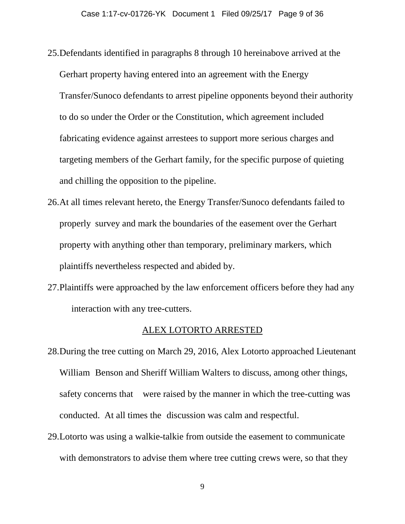- 25.Defendants identified in paragraphs 8 through 10 hereinabove arrived at the Gerhart property having entered into an agreement with the Energy Transfer/Sunoco defendants to arrest pipeline opponents beyond their authority to do so under the Order or the Constitution, which agreement included fabricating evidence against arrestees to support more serious charges and targeting members of the Gerhart family, for the specific purpose of quieting and chilling the opposition to the pipeline.
- 26.At all times relevant hereto, the Energy Transfer/Sunoco defendants failed to properly survey and mark the boundaries of the easement over the Gerhart property with anything other than temporary, preliminary markers, which plaintiffs nevertheless respected and abided by.
- 27.Plaintiffs were approached by the law enforcement officers before they had any interaction with any tree-cutters.

#### ALEX LOTORTO ARRESTED

- 28.During the tree cutting on March 29, 2016, Alex Lotorto approached Lieutenant William Benson and Sheriff William Walters to discuss, among other things, safety concerns that were raised by the manner in which the tree-cutting was conducted. At all times the discussion was calm and respectful.
- 29.Lotorto was using a walkie-talkie from outside the easement to communicate with demonstrators to advise them where tree cutting crews were, so that they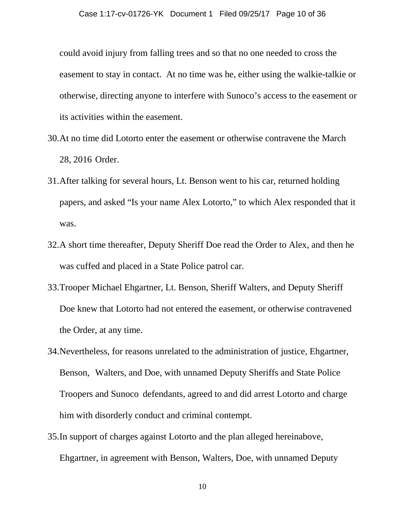could avoid injury from falling trees and so that no one needed to cross the easement to stay in contact. At no time was he, either using the walkie-talkie or otherwise, directing anyone to interfere with Sunoco's access to the easement or its activities within the easement.

- 30.At no time did Lotorto enter the easement or otherwise contravene the March 28, 2016 Order.
- 31.After talking for several hours, Lt. Benson went to his car, returned holding papers, and asked "Is your name Alex Lotorto," to which Alex responded that it was.
- 32.A short time thereafter, Deputy Sheriff Doe read the Order to Alex, and then he was cuffed and placed in a State Police patrol car.
- 33.Trooper Michael Ehgartner, Lt. Benson, Sheriff Walters, and Deputy Sheriff Doe knew that Lotorto had not entered the easement, or otherwise contravened the Order, at any time.
- 34.Nevertheless, for reasons unrelated to the administration of justice, Ehgartner, Benson, Walters, and Doe, with unnamed Deputy Sheriffs and State Police Troopers and Sunoco defendants, agreed to and did arrest Lotorto and charge him with disorderly conduct and criminal contempt.
- 35.In support of charges against Lotorto and the plan alleged hereinabove, Ehgartner, in agreement with Benson, Walters, Doe, with unnamed Deputy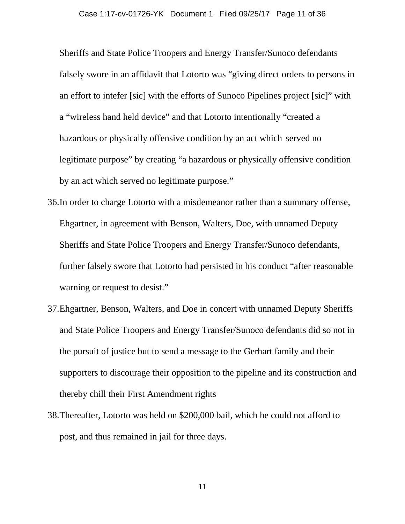Sheriffs and State Police Troopers and Energy Transfer/Sunoco defendants falsely swore in an affidavit that Lotorto was "giving direct orders to persons in an effort to intefer [sic] with the efforts of Sunoco Pipelines project [sic]" with a "wireless hand held device" and that Lotorto intentionally "created a hazardous or physically offensive condition by an act which served no legitimate purpose" by creating "a hazardous or physically offensive condition by an act which served no legitimate purpose."

- 36.In order to charge Lotorto with a misdemeanor rather than a summary offense, Ehgartner, in agreement with Benson, Walters, Doe, with unnamed Deputy Sheriffs and State Police Troopers and Energy Transfer/Sunoco defendants, further falsely swore that Lotorto had persisted in his conduct "after reasonable warning or request to desist."
- 37.Ehgartner, Benson, Walters, and Doe in concert with unnamed Deputy Sheriffs and State Police Troopers and Energy Transfer/Sunoco defendants did so not in the pursuit of justice but to send a message to the Gerhart family and their supporters to discourage their opposition to the pipeline and its construction and thereby chill their First Amendment rights
- 38.Thereafter, Lotorto was held on \$200,000 bail, which he could not afford to post, and thus remained in jail for three days.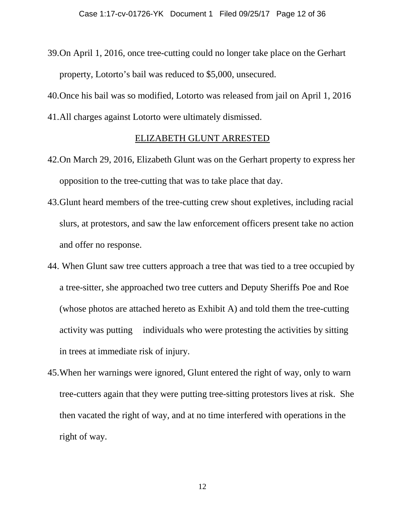39.On April 1, 2016, once tree-cutting could no longer take place on the Gerhart property, Lotorto's bail was reduced to \$5,000, unsecured.

40.Once his bail was so modified, Lotorto was released from jail on April 1, 2016

41.All charges against Lotorto were ultimately dismissed.

#### ELIZABETH GLUNT ARRESTED

- 42.On March 29, 2016, Elizabeth Glunt was on the Gerhart property to express her opposition to the tree-cutting that was to take place that day.
- 43.Glunt heard members of the tree-cutting crew shout expletives, including racial slurs, at protestors, and saw the law enforcement officers present take no action and offer no response.
- 44. When Glunt saw tree cutters approach a tree that was tied to a tree occupied by a tree-sitter, she approached two tree cutters and Deputy Sheriffs Poe and Roe (whose photos are attached hereto as Exhibit A) and told them the tree-cutting activity was putting individuals who were protesting the activities by sitting in trees at immediate risk of injury.
- 45.When her warnings were ignored, Glunt entered the right of way, only to warn tree-cutters again that they were putting tree-sitting protestors lives at risk. She then vacated the right of way, and at no time interfered with operations in the right of way.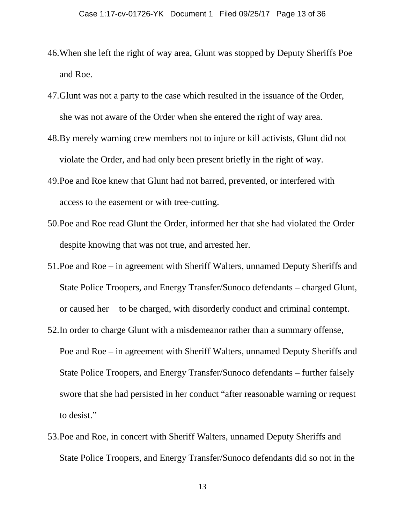- 46.When she left the right of way area, Glunt was stopped by Deputy Sheriffs Poe and Roe.
- 47.Glunt was not a party to the case which resulted in the issuance of the Order, she was not aware of the Order when she entered the right of way area.
- 48.By merely warning crew members not to injure or kill activists, Glunt did not violate the Order, and had only been present briefly in the right of way.
- 49.Poe and Roe knew that Glunt had not barred, prevented, or interfered with access to the easement or with tree-cutting.
- 50.Poe and Roe read Glunt the Order, informed her that she had violated the Order despite knowing that was not true, and arrested her.
- 51.Poe and Roe in agreement with Sheriff Walters, unnamed Deputy Sheriffs and State Police Troopers, and Energy Transfer/Sunoco defendants – charged Glunt, or caused her to be charged, with disorderly conduct and criminal contempt.
- 52.In order to charge Glunt with a misdemeanor rather than a summary offense, Poe and Roe – in agreement with Sheriff Walters, unnamed Deputy Sheriffs and State Police Troopers, and Energy Transfer/Sunoco defendants – further falsely swore that she had persisted in her conduct "after reasonable warning or request to desist."
- 53.Poe and Roe, in concert with Sheriff Walters, unnamed Deputy Sheriffs and State Police Troopers, and Energy Transfer/Sunoco defendants did so not in the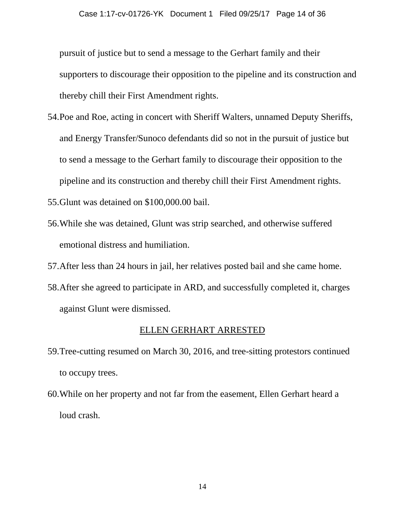pursuit of justice but to send a message to the Gerhart family and their supporters to discourage their opposition to the pipeline and its construction and thereby chill their First Amendment rights.

- 54.Poe and Roe, acting in concert with Sheriff Walters, unnamed Deputy Sheriffs, and Energy Transfer/Sunoco defendants did so not in the pursuit of justice but to send a message to the Gerhart family to discourage their opposition to the pipeline and its construction and thereby chill their First Amendment rights.
- 55.Glunt was detained on \$100,000.00 bail.
- 56.While she was detained, Glunt was strip searched, and otherwise suffered emotional distress and humiliation.
- 57.After less than 24 hours in jail, her relatives posted bail and she came home.
- 58.After she agreed to participate in ARD, and successfully completed it, charges against Glunt were dismissed.

#### ELLEN GERHART ARRESTED

- 59.Tree-cutting resumed on March 30, 2016, and tree-sitting protestors continued to occupy trees.
- 60.While on her property and not far from the easement, Ellen Gerhart heard a loud crash.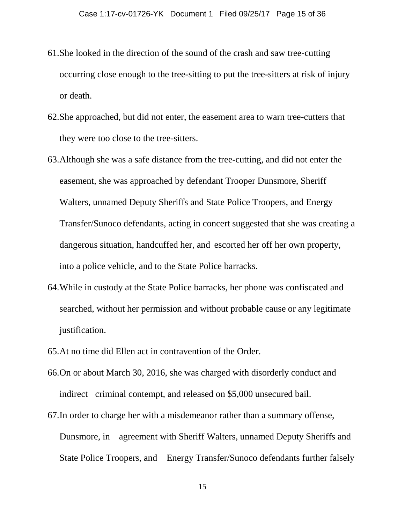- 61.She looked in the direction of the sound of the crash and saw tree-cutting occurring close enough to the tree-sitting to put the tree-sitters at risk of injury or death.
- 62.She approached, but did not enter, the easement area to warn tree-cutters that they were too close to the tree-sitters.
- 63.Although she was a safe distance from the tree-cutting, and did not enter the easement, she was approached by defendant Trooper Dunsmore, Sheriff Walters, unnamed Deputy Sheriffs and State Police Troopers, and Energy Transfer/Sunoco defendants, acting in concert suggested that she was creating a dangerous situation, handcuffed her, and escorted her off her own property, into a police vehicle, and to the State Police barracks.
- 64.While in custody at the State Police barracks, her phone was confiscated and searched, without her permission and without probable cause or any legitimate justification.
- 65.At no time did Ellen act in contravention of the Order.
- 66.On or about March 30, 2016, she was charged with disorderly conduct and indirect criminal contempt, and released on \$5,000 unsecured bail.
- 67.In order to charge her with a misdemeanor rather than a summary offense, Dunsmore, in agreement with Sheriff Walters, unnamed Deputy Sheriffs and State Police Troopers, and Energy Transfer/Sunoco defendants further falsely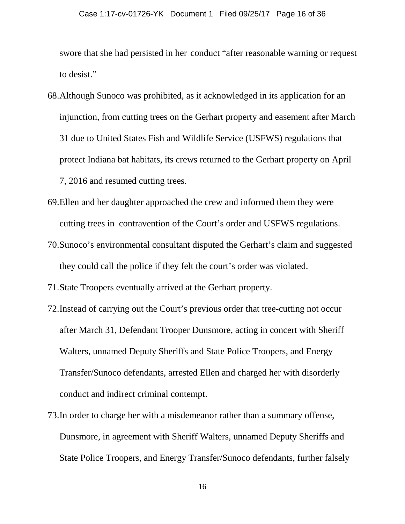swore that she had persisted in her conduct "after reasonable warning or request to desist."

- 68.Although Sunoco was prohibited, as it acknowledged in its application for an injunction, from cutting trees on the Gerhart property and easement after March 31 due to United States Fish and Wildlife Service (USFWS) regulations that protect Indiana bat habitats, its crews returned to the Gerhart property on April 7, 2016 and resumed cutting trees.
- 69.Ellen and her daughter approached the crew and informed them they were cutting trees in contravention of the Court's order and USFWS regulations.
- 70.Sunoco's environmental consultant disputed the Gerhart's claim and suggested they could call the police if they felt the court's order was violated.
- 71.State Troopers eventually arrived at the Gerhart property.
- 72.Instead of carrying out the Court's previous order that tree-cutting not occur after March 31, Defendant Trooper Dunsmore, acting in concert with Sheriff Walters, unnamed Deputy Sheriffs and State Police Troopers, and Energy Transfer/Sunoco defendants, arrested Ellen and charged her with disorderly conduct and indirect criminal contempt.
- 73.In order to charge her with a misdemeanor rather than a summary offense, Dunsmore, in agreement with Sheriff Walters, unnamed Deputy Sheriffs and State Police Troopers, and Energy Transfer/Sunoco defendants, further falsely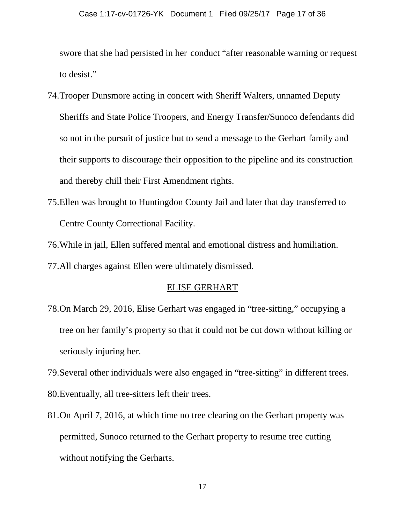swore that she had persisted in her conduct "after reasonable warning or request to desist."

- 74.Trooper Dunsmore acting in concert with Sheriff Walters, unnamed Deputy Sheriffs and State Police Troopers, and Energy Transfer/Sunoco defendants did so not in the pursuit of justice but to send a message to the Gerhart family and their supports to discourage their opposition to the pipeline and its construction and thereby chill their First Amendment rights.
- 75.Ellen was brought to Huntingdon County Jail and later that day transferred to Centre County Correctional Facility.
- 76.While in jail, Ellen suffered mental and emotional distress and humiliation.
- 77.All charges against Ellen were ultimately dismissed.

#### ELISE GERHART

- 78.On March 29, 2016, Elise Gerhart was engaged in "tree-sitting," occupying a tree on her family's property so that it could not be cut down without killing or seriously injuring her.
- 79.Several other individuals were also engaged in "tree-sitting" in different trees.
- 80.Eventually, all tree-sitters left their trees.
- 81.On April 7, 2016, at which time no tree clearing on the Gerhart property was permitted, Sunoco returned to the Gerhart property to resume tree cutting without notifying the Gerharts.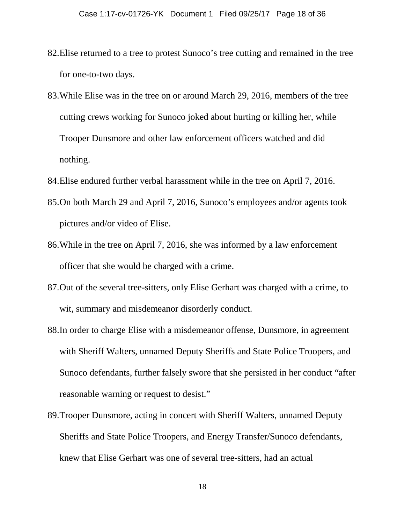- 82.Elise returned to a tree to protest Sunoco's tree cutting and remained in the tree for one-to-two days.
- 83.While Elise was in the tree on or around March 29, 2016, members of the tree cutting crews working for Sunoco joked about hurting or killing her, while Trooper Dunsmore and other law enforcement officers watched and did nothing.
- 84.Elise endured further verbal harassment while in the tree on April 7, 2016.
- 85.On both March 29 and April 7, 2016, Sunoco's employees and/or agents took pictures and/or video of Elise.
- 86.While in the tree on April 7, 2016, she was informed by a law enforcement officer that she would be charged with a crime.
- 87.Out of the several tree-sitters, only Elise Gerhart was charged with a crime, to wit, summary and misdemeanor disorderly conduct.
- 88.In order to charge Elise with a misdemeanor offense, Dunsmore, in agreement with Sheriff Walters, unnamed Deputy Sheriffs and State Police Troopers, and Sunoco defendants, further falsely swore that she persisted in her conduct "after reasonable warning or request to desist."
- 89.Trooper Dunsmore, acting in concert with Sheriff Walters, unnamed Deputy Sheriffs and State Police Troopers, and Energy Transfer/Sunoco defendants, knew that Elise Gerhart was one of several tree-sitters, had an actual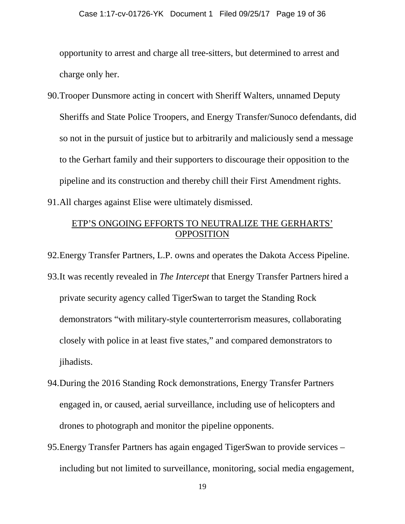opportunity to arrest and charge all tree-sitters, but determined to arrest and charge only her.

90.Trooper Dunsmore acting in concert with Sheriff Walters, unnamed Deputy Sheriffs and State Police Troopers, and Energy Transfer/Sunoco defendants, did so not in the pursuit of justice but to arbitrarily and maliciously send a message to the Gerhart family and their supporters to discourage their opposition to the pipeline and its construction and thereby chill their First Amendment rights. 91.All charges against Elise were ultimately dismissed.

### ETP'S ONGOING EFFORTS TO NEUTRALIZE THE GERHARTS' **OPPOSITION**

92.Energy Transfer Partners, L.P. owns and operates the Dakota Access Pipeline.

- 93.It was recently revealed in *The Intercept* that Energy Transfer Partners hired a private security agency called TigerSwan to target the Standing Rock demonstrators "with military-style counterterrorism measures, collaborating closely with police in at least five states," and compared demonstrators to jihadists.
- 94.During the 2016 Standing Rock demonstrations, Energy Transfer Partners engaged in, or caused, aerial surveillance, including use of helicopters and drones to photograph and monitor the pipeline opponents.
- 95.Energy Transfer Partners has again engaged TigerSwan to provide services including but not limited to surveillance, monitoring, social media engagement,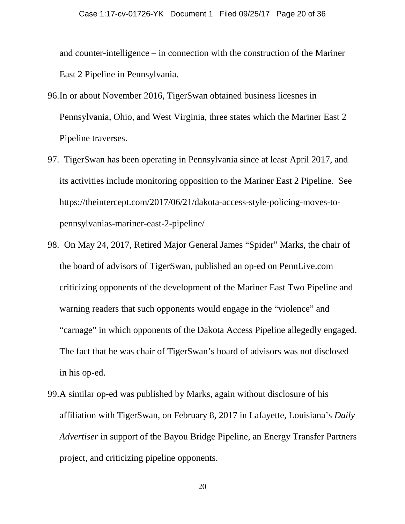and counter-intelligence – in connection with the construction of the Mariner East 2 Pipeline in Pennsylvania.

- 96.In or about November 2016, TigerSwan obtained business licesnes in Pennsylvania, Ohio, and West Virginia, three states which the Mariner East 2 Pipeline traverses.
- 97. TigerSwan has been operating in Pennsylvania since at least April 2017, and its activities include monitoring opposition to the Mariner East 2 Pipeline. See https://theintercept.com/2017/06/21/dakota-access-style-policing-moves-topennsylvanias-mariner-east-2-pipeline/
- 98. On May 24, 2017, Retired Major General James "Spider" Marks, the chair of the board of advisors of TigerSwan, published an op-ed on PennLive.com criticizing opponents of the development of the Mariner East Two Pipeline and warning readers that such opponents would engage in the "violence" and "carnage" in which opponents of the Dakota Access Pipeline allegedly engaged. The fact that he was chair of TigerSwan's board of advisors was not disclosed in his op-ed.
- 99.A similar op-ed was published by Marks, again without disclosure of his affiliation with TigerSwan, on February 8, 2017 in Lafayette, Louisiana's *Daily Advertiser* in support of the Bayou Bridge Pipeline, an Energy Transfer Partners project, and criticizing pipeline opponents.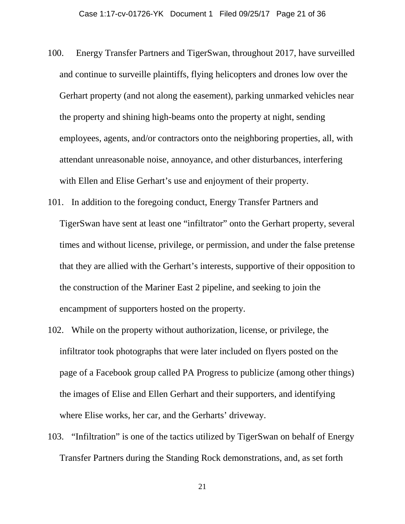- 100. Energy Transfer Partners and TigerSwan, throughout 2017, have surveilled and continue to surveille plaintiffs, flying helicopters and drones low over the Gerhart property (and not along the easement), parking unmarked vehicles near the property and shining high-beams onto the property at night, sending employees, agents, and/or contractors onto the neighboring properties, all, with attendant unreasonable noise, annoyance, and other disturbances, interfering with Ellen and Elise Gerhart's use and enjoyment of their property.
- 101. In addition to the foregoing conduct, Energy Transfer Partners and TigerSwan have sent at least one "infiltrator" onto the Gerhart property, several times and without license, privilege, or permission, and under the false pretense that they are allied with the Gerhart's interests, supportive of their opposition to the construction of the Mariner East 2 pipeline, and seeking to join the encampment of supporters hosted on the property.
- 102. While on the property without authorization, license, or privilege, the infiltrator took photographs that were later included on flyers posted on the page of a Facebook group called PA Progress to publicize (among other things) the images of Elise and Ellen Gerhart and their supporters, and identifying where Elise works, her car, and the Gerharts' driveway.
- 103. "Infiltration" is one of the tactics utilized by TigerSwan on behalf of Energy Transfer Partners during the Standing Rock demonstrations, and, as set forth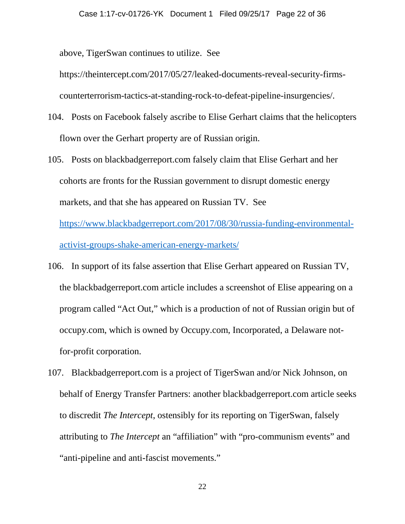above, TigerSwan continues to utilize. See

https://theintercept.com/2017/05/27/leaked-documents-reveal-security-firmscounterterrorism-tactics-at-standing-rock-to-defeat-pipeline-insurgencies/.

- 104. Posts on Facebook falsely ascribe to Elise Gerhart claims that the helicopters flown over the Gerhart property are of Russian origin.
- 105. Posts on blackbadgerreport.com falsely claim that Elise Gerhart and her cohorts are fronts for the Russian government to disrupt domestic energy markets, and that she has appeared on Russian TV. See https://www.blackbadgerreport.com/2017/08/30/russia-funding-environmentalactivist-groups-shake-american-energy-markets/
- 106. In support of its false assertion that Elise Gerhart appeared on Russian TV, the blackbadgerreport.com article includes a screenshot of Elise appearing on a program called "Act Out," which is a production of not of Russian origin but of occupy.com, which is owned by Occupy.com, Incorporated, a Delaware notfor-profit corporation.
- 107. Blackbadgerreport.com is a project of TigerSwan and/or Nick Johnson, on behalf of Energy Transfer Partners: another blackbadgerreport.com article seeks to discredit *The Intercept*, ostensibly for its reporting on TigerSwan, falsely attributing to *The Intercept* an "affiliation" with "pro-communism events" and "anti-pipeline and anti-fascist movements."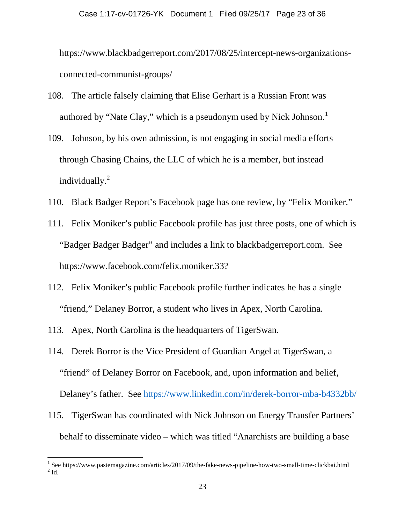https://www.blackbadgerreport.com/2017/08/25/intercept-news-organizationsconnected-communist-groups/

- 108. The article falsely claiming that Elise Gerhart is a Russian Front was authored by "Nate Clay," which is a pseudonym used by Nick Johnson.<sup>1</sup>
- 109. Johnson, by his own admission, is not engaging in social media efforts through Chasing Chains, the LLC of which he is a member, but instead individually.<sup>2</sup>
- 110. Black Badger Report's Facebook page has one review, by "Felix Moniker."
- 111. Felix Moniker's public Facebook profile has just three posts, one of which is "Badger Badger Badger" and includes a link to blackbadgerreport.com. See https://www.facebook.com/felix.moniker.33?
- 112. Felix Moniker's public Facebook profile further indicates he has a single "friend," Delaney Borror, a student who lives in Apex, North Carolina.
- 113. Apex, North Carolina is the headquarters of TigerSwan.
- 114. Derek Borror is the Vice President of Guardian Angel at TigerSwan, a "friend" of Delaney Borror on Facebook, and, upon information and belief, Delaney's father. See https://www.linkedin.com/in/derek-borror-mba-b4332bb/
- 115. TigerSwan has coordinated with Nick Johnson on Energy Transfer Partners' behalf to disseminate video – which was titled "Anarchists are building a base

 $^{\rm 1}$  See https://www.pastemagazine.com/articles/2017/09/the-fake-news-pipeline-how-two-small-time-clickbai.html  $^{\rm 2}$  Id.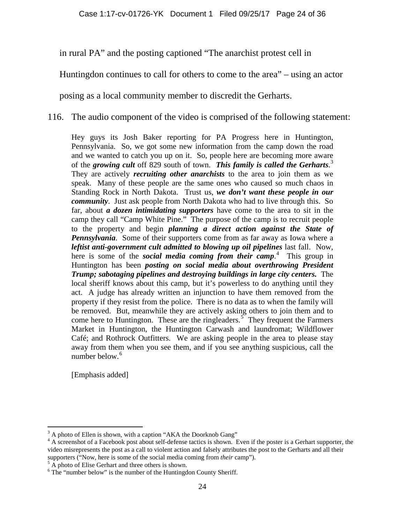in rural PA" and the posting captioned "The anarchist protest cell in

Huntingdon continues to call for others to come to the area" – using an actor

posing as a local community member to discredit the Gerharts.

116. The audio component of the video is comprised of the following statement:

Hey guys its Josh Baker reporting for PA Progress here in Huntington, Pennsylvania. So, we got some new information from the camp down the road and we wanted to catch you up on it. So, people here are becoming more aware of the *growing cult* off 829 south of town. *This family is called the Gerharts*. 3 They are actively *recruiting other anarchists* to the area to join them as we speak. Many of these people are the same ones who caused so much chaos in Standing Rock in North Dakota. Trust us, *we don't want these people in our community*. Just ask people from North Dakota who had to live through this. So far, about *a dozen intimidating supporters* have come to the area to sit in the camp they call "Camp White Pine." The purpose of the camp is to recruit people to the property and begin *planning a direct action against the State of Pennsylvania*. Some of their supporters come from as far away as Iowa where a *leftist anti-government cult admitted to blowing up oil pipelines* last fall. Now, here is some of the *social media coming from their camp*. 4 This group in Huntington has been *posting on social media about overthrowing President Trump; sabotaging pipelines and destroying buildings in large city centers.* The local sheriff knows about this camp, but it's powerless to do anything until they act. A judge has already written an injunction to have them removed from the property if they resist from the police. There is no data as to when the family will be removed. But, meanwhile they are actively asking others to join them and to come here to Huntington. These are the ringleaders.<sup>5</sup> They frequent the Farmers Market in Huntington, the Huntington Carwash and laundromat; Wildflower Café; and Rothrock Outfitters. We are asking people in the area to please stay away from them when you see them, and if you see anything suspicious, call the number below. $6$ 

[Emphasis added]

<sup>&</sup>lt;sup>3</sup> A photo of Ellen is shown, with a caption "AKA the Doorknob Gang"

<sup>&</sup>lt;sup>4</sup> A screenshot of a Facebook post about self-defense tactics is shown. Even if the poster is a Gerhart supporter, the video misrepresents the post as a call to violent action and falsely attributes the post to the Gerharts and all their supporters ("Now, here is some of the social media coming from *their* camp").<br><sup>5</sup> A photo of Elise Gerhart and three others is shown.<br><sup>6</sup> The "number below" is the number of the Huntingdon County Sheriff.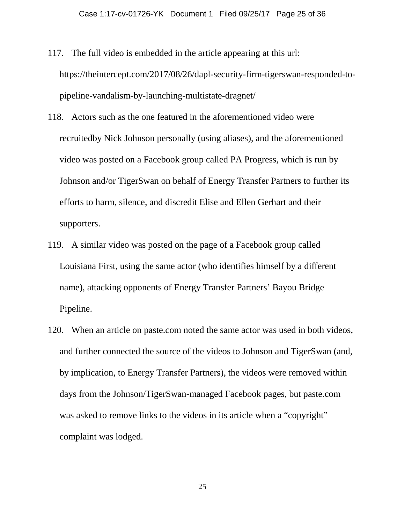- 117. The full video is embedded in the article appearing at this url: https://theintercept.com/2017/08/26/dapl-security-firm-tigerswan-responded-topipeline-vandalism-by-launching-multistate-dragnet/
- 118. Actors such as the one featured in the aforementioned video were recruitedby Nick Johnson personally (using aliases), and the aforementioned video was posted on a Facebook group called PA Progress, which is run by Johnson and/or TigerSwan on behalf of Energy Transfer Partners to further its efforts to harm, silence, and discredit Elise and Ellen Gerhart and their supporters.
- 119. A similar video was posted on the page of a Facebook group called Louisiana First, using the same actor (who identifies himself by a different name), attacking opponents of Energy Transfer Partners' Bayou Bridge Pipeline.
- 120. When an article on paste.com noted the same actor was used in both videos, and further connected the source of the videos to Johnson and TigerSwan (and, by implication, to Energy Transfer Partners), the videos were removed within days from the Johnson/TigerSwan-managed Facebook pages, but paste.com was asked to remove links to the videos in its article when a "copyright" complaint was lodged.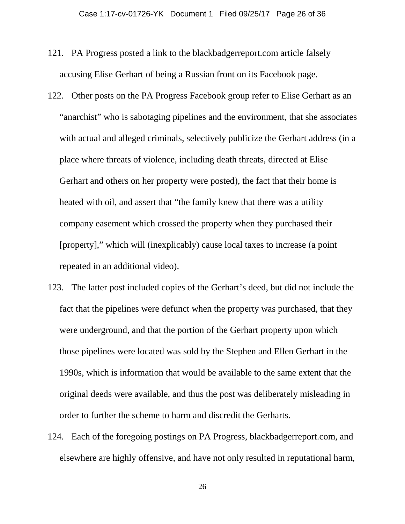- 121. PA Progress posted a link to the blackbadgerreport.com article falsely accusing Elise Gerhart of being a Russian front on its Facebook page.
- 122. Other posts on the PA Progress Facebook group refer to Elise Gerhart as an "anarchist" who is sabotaging pipelines and the environment, that she associates with actual and alleged criminals, selectively publicize the Gerhart address (in a place where threats of violence, including death threats, directed at Elise Gerhart and others on her property were posted), the fact that their home is heated with oil, and assert that "the family knew that there was a utility company easement which crossed the property when they purchased their [property]," which will (inexplicably) cause local taxes to increase (a point repeated in an additional video).
- 123. The latter post included copies of the Gerhart's deed, but did not include the fact that the pipelines were defunct when the property was purchased, that they were underground, and that the portion of the Gerhart property upon which those pipelines were located was sold by the Stephen and Ellen Gerhart in the 1990s, which is information that would be available to the same extent that the original deeds were available, and thus the post was deliberately misleading in order to further the scheme to harm and discredit the Gerharts.
- 124. Each of the foregoing postings on PA Progress, blackbadgerreport.com, and elsewhere are highly offensive, and have not only resulted in reputational harm,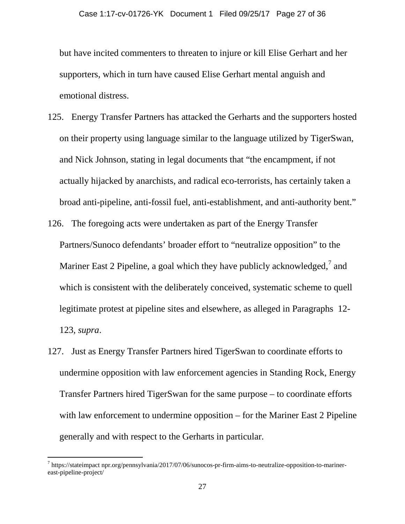but have incited commenters to threaten to injure or kill Elise Gerhart and her supporters, which in turn have caused Elise Gerhart mental anguish and emotional distress.

- 125. Energy Transfer Partners has attacked the Gerharts and the supporters hosted on their property using language similar to the language utilized by TigerSwan, and Nick Johnson, stating in legal documents that "the encampment, if not actually hijacked by anarchists, and radical eco-terrorists, has certainly taken a broad anti-pipeline, anti-fossil fuel, anti-establishment, and anti-authority bent."
- 126. The foregoing acts were undertaken as part of the Energy Transfer Partners/Sunoco defendants' broader effort to "neutralize opposition" to the Mariner East 2 Pipeline, a goal which they have publicly acknowledged,<sup>7</sup> and which is consistent with the deliberately conceived, systematic scheme to quell legitimate protest at pipeline sites and elsewhere, as alleged in Paragraphs 12- 123, *supra*.
- 127. Just as Energy Transfer Partners hired TigerSwan to coordinate efforts to undermine opposition with law enforcement agencies in Standing Rock, Energy Transfer Partners hired TigerSwan for the same purpose – to coordinate efforts with law enforcement to undermine opposition – for the Mariner East 2 Pipeline generally and with respect to the Gerharts in particular.

 $\overline{a}$ 

<sup>7</sup> https://stateimpact npr.org/pennsylvania/2017/07/06/sunocos-pr-firm-aims-to-neutralize-opposition-to-marinereast-pipeline-project/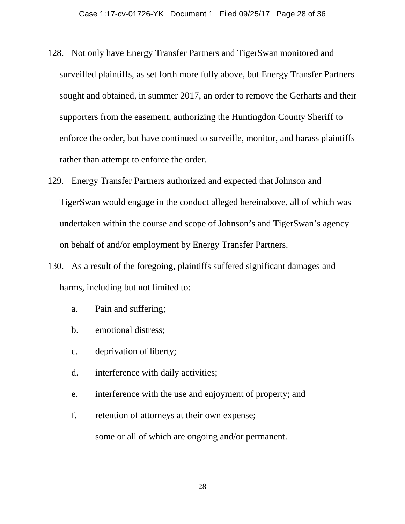- 128. Not only have Energy Transfer Partners and TigerSwan monitored and surveilled plaintiffs, as set forth more fully above, but Energy Transfer Partners sought and obtained, in summer 2017, an order to remove the Gerharts and their supporters from the easement, authorizing the Huntingdon County Sheriff to enforce the order, but have continued to surveille, monitor, and harass plaintiffs rather than attempt to enforce the order.
- 129. Energy Transfer Partners authorized and expected that Johnson and TigerSwan would engage in the conduct alleged hereinabove, all of which was undertaken within the course and scope of Johnson's and TigerSwan's agency on behalf of and/or employment by Energy Transfer Partners.
- 130. As a result of the foregoing, plaintiffs suffered significant damages and harms, including but not limited to:
	- a. Pain and suffering;
	- b. emotional distress;
	- c. deprivation of liberty;
	- d. interference with daily activities;
	- e. interference with the use and enjoyment of property; and
	- f. retention of attorneys at their own expense;

some or all of which are ongoing and/or permanent.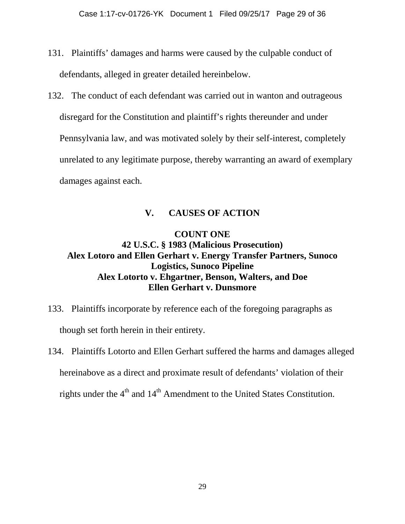- 131. Plaintiffs' damages and harms were caused by the culpable conduct of defendants, alleged in greater detailed hereinbelow.
- 132. The conduct of each defendant was carried out in wanton and outrageous disregard for the Constitution and plaintiff's rights thereunder and under Pennsylvania law, and was motivated solely by their self-interest, completely unrelated to any legitimate purpose, thereby warranting an award of exemplary damages against each.

### **V. CAUSES OF ACTION**

## **COUNT ONE 42 U.S.C. § 1983 (Malicious Prosecution) Alex Lotoro and Ellen Gerhart v. Energy Transfer Partners, Sunoco Logistics, Sunoco Pipeline Alex Lotorto v. Ehgartner, Benson, Walters, and Doe Ellen Gerhart v. Dunsmore**

- 133. Plaintiffs incorporate by reference each of the foregoing paragraphs as though set forth herein in their entirety.
- 134. Plaintiffs Lotorto and Ellen Gerhart suffered the harms and damages alleged hereinabove as a direct and proximate result of defendants' violation of their rights under the  $4<sup>th</sup>$  and  $14<sup>th</sup>$  Amendment to the United States Constitution.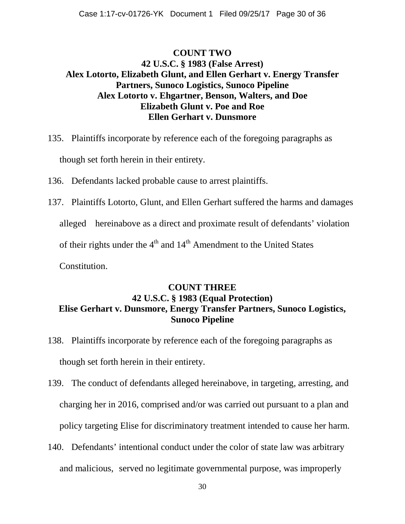## **COUNT TWO 42 U.S.C. § 1983 (False Arrest) Alex Lotorto, Elizabeth Glunt, and Ellen Gerhart v. Energy Transfer Partners, Sunoco Logistics, Sunoco Pipeline Alex Lotorto v. Ehgartner, Benson, Walters, and Doe Elizabeth Glunt v. Poe and Roe Ellen Gerhart v. Dunsmore**

- 135. Plaintiffs incorporate by reference each of the foregoing paragraphs as though set forth herein in their entirety.
- 136. Defendants lacked probable cause to arrest plaintiffs.
- 137. Plaintiffs Lotorto, Glunt, and Ellen Gerhart suffered the harms and damages alleged hereinabove as a direct and proximate result of defendants' violation of their rights under the  $4<sup>th</sup>$  and  $14<sup>th</sup>$  Amendment to the United States Constitution.

## **COUNT THREE 42 U.S.C. § 1983 (Equal Protection) Elise Gerhart v. Dunsmore, Energy Transfer Partners, Sunoco Logistics, Sunoco Pipeline**

- 138. Plaintiffs incorporate by reference each of the foregoing paragraphs as though set forth herein in their entirety.
- 139. The conduct of defendants alleged hereinabove, in targeting, arresting, and charging her in 2016, comprised and/or was carried out pursuant to a plan and policy targeting Elise for discriminatory treatment intended to cause her harm.
- 140. Defendants' intentional conduct under the color of state law was arbitrary and malicious, served no legitimate governmental purpose, was improperly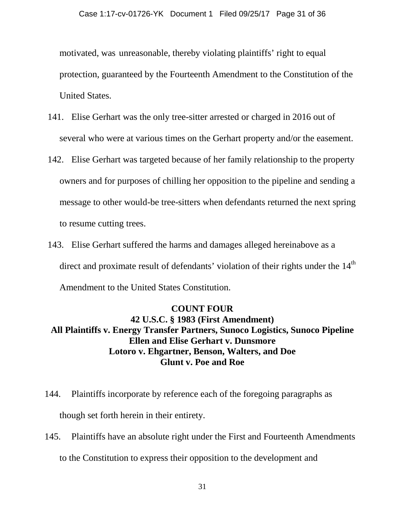motivated, was unreasonable, thereby violating plaintiffs' right to equal protection, guaranteed by the Fourteenth Amendment to the Constitution of the United States.

- 141. Elise Gerhart was the only tree-sitter arrested or charged in 2016 out of several who were at various times on the Gerhart property and/or the easement.
- 142. Elise Gerhart was targeted because of her family relationship to the property owners and for purposes of chilling her opposition to the pipeline and sending a message to other would-be tree-sitters when defendants returned the next spring to resume cutting trees.
- 143. Elise Gerhart suffered the harms and damages alleged hereinabove as a direct and proximate result of defendants' violation of their rights under the  $14<sup>th</sup>$ Amendment to the United States Constitution.

### **COUNT FOUR**

**42 U.S.C. § 1983 (First Amendment) All Plaintiffs v. Energy Transfer Partners, Sunoco Logistics, Sunoco Pipeline Ellen and Elise Gerhart v. Dunsmore Lotoro v. Ehgartner, Benson, Walters, and Doe Glunt v. Poe and Roe**

- 144. Plaintiffs incorporate by reference each of the foregoing paragraphs as though set forth herein in their entirety.
- 145. Plaintiffs have an absolute right under the First and Fourteenth Amendments to the Constitution to express their opposition to the development and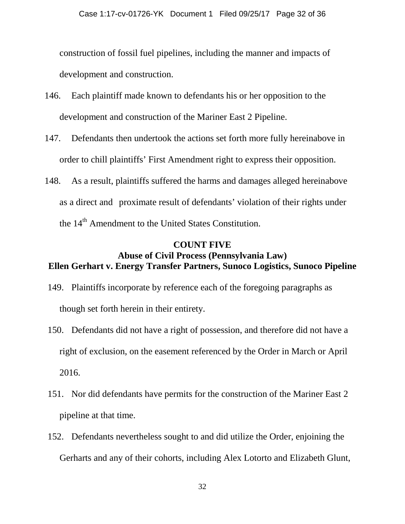construction of fossil fuel pipelines, including the manner and impacts of development and construction.

- 146. Each plaintiff made known to defendants his or her opposition to the development and construction of the Mariner East 2 Pipeline.
- 147. Defendants then undertook the actions set forth more fully hereinabove in order to chill plaintiffs' First Amendment right to express their opposition.
- 148. As a result, plaintiffs suffered the harms and damages alleged hereinabove as a direct and proximate result of defendants' violation of their rights under the  $14<sup>th</sup>$  Amendment to the United States Constitution.

### **COUNT FIVE Abuse of Civil Process (Pennsylvania Law) Ellen Gerhart v. Energy Transfer Partners, Sunoco Logistics, Sunoco Pipeline**

- 149. Plaintiffs incorporate by reference each of the foregoing paragraphs as though set forth herein in their entirety.
- 150. Defendants did not have a right of possession, and therefore did not have a right of exclusion, on the easement referenced by the Order in March or April 2016.
- 151. Nor did defendants have permits for the construction of the Mariner East 2 pipeline at that time.
- 152. Defendants nevertheless sought to and did utilize the Order, enjoining the Gerharts and any of their cohorts, including Alex Lotorto and Elizabeth Glunt,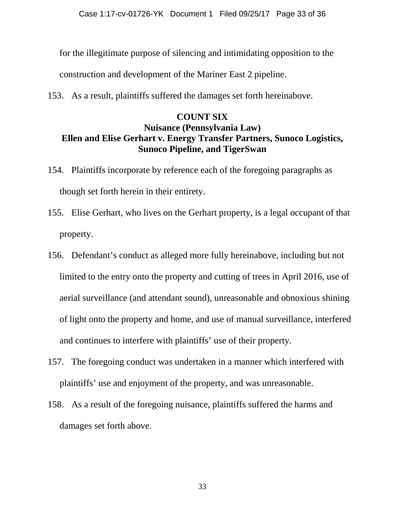for the illegitimate purpose of silencing and intimidating opposition to the

construction and development of the Mariner East 2 pipeline.

153. As a result, plaintiffs suffered the damages set forth hereinabove.

### **COUNT SIX**

### **Nuisance (Pennsylvania Law) Ellen and Elise Gerhart v. Energy Transfer Partners, Sunoco Logistics, Sunoco Pipeline, and TigerSwan**

- 154. Plaintiffs incorporate by reference each of the foregoing paragraphs as though set forth herein in their entirety.
- 155. Elise Gerhart, who lives on the Gerhart property, is a legal occupant of that property.
- 156. Defendant's conduct as alleged more fully hereinabove, including but not limited to the entry onto the property and cutting of trees in April 2016, use of aerial surveillance (and attendant sound), unreasonable and obnoxious shining of light onto the property and home, and use of manual surveillance, interfered and continues to interfere with plaintiffs' use of their property.
- 157. The foregoing conduct was undertaken in a manner which interfered with plaintiffs' use and enjoyment of the property, and was unreasonable.
- 158. As a result of the foregoing nuisance, plaintiffs suffered the harms and damages set forth above.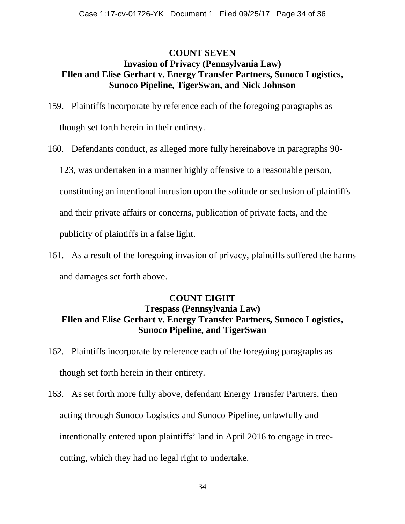## **COUNT SEVEN Invasion of Privacy (Pennsylvania Law) Ellen and Elise Gerhart v. Energy Transfer Partners, Sunoco Logistics, Sunoco Pipeline, TigerSwan, and Nick Johnson**

- 159. Plaintiffs incorporate by reference each of the foregoing paragraphs as though set forth herein in their entirety.
- 160. Defendants conduct, as alleged more fully hereinabove in paragraphs 90-

123, was undertaken in a manner highly offensive to a reasonable person,

constituting an intentional intrusion upon the solitude or seclusion of plaintiffs

and their private affairs or concerns, publication of private facts, and the

publicity of plaintiffs in a false light.

161. As a result of the foregoing invasion of privacy, plaintiffs suffered the harms and damages set forth above.

## **COUNT EIGHT Trespass (Pennsylvania Law) Ellen and Elise Gerhart v. Energy Transfer Partners, Sunoco Logistics, Sunoco Pipeline, and TigerSwan**

- 162. Plaintiffs incorporate by reference each of the foregoing paragraphs as though set forth herein in their entirety.
- 163. As set forth more fully above, defendant Energy Transfer Partners, then acting through Sunoco Logistics and Sunoco Pipeline, unlawfully and intentionally entered upon plaintiffs' land in April 2016 to engage in treecutting, which they had no legal right to undertake.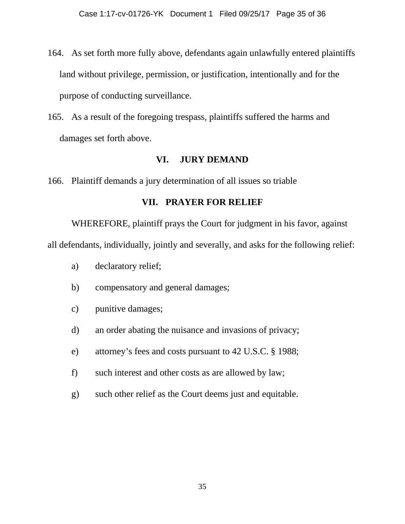- 164. As set forth more fully above, defendants again unlawfully entered plaintiffs land without privilege, permission, or justification, intentionally and for the purpose of conducting surveillance.
- 165. As a result of the foregoing trespass, plaintiffs suffered the harms and damages set forth above.

### **VI. JURY DEMAND**

166. Plaintiff demands a jury determination of all issues so triable

### **VII. PRAYER FOR RELIEF**

WHEREFORE, plaintiff prays the Court for judgment in his favor, against all defendants, individually, jointly and severally, and asks for the following relief:

- a) declaratory relief;
- b) compensatory and general damages;
- c) punitive damages;
- d) an order abating the nuisance and invasions of privacy;
- e) attorney's fees and costs pursuant to 42 U.S.C. § 1988;
- f) such interest and other costs as are allowed by law;
- g) such other relief as the Court deems just and equitable.